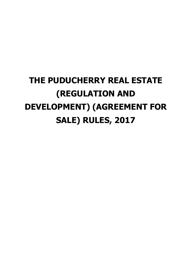# **THE PUDUCHERRY REAL ESTATE (REGULATION AND DEVELOPMENT) (AGREEMENT FOR SALE) RULES, 2017**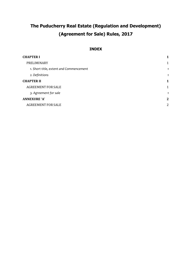## **The Puducherry Real Estate (Regulation and Development) (Agreement for Sale) Rules, 2017**

#### **INDEX**

| <b>CHAPTER I</b>                        | 1              |
|-----------------------------------------|----------------|
| PRELIMINARY                             | 1              |
| 1. Short title, extent and Commencement |                |
| 2. Definitions                          |                |
| <b>CHAPTER II</b>                       | 1              |
| <b>AGREEMENT FOR SALE</b>               | 1              |
| 3. Agreement for sale                   |                |
| <b>ANNEXURE 'A'</b>                     | $\mathbf 2$    |
| <b>AGREEMENT FOR SALE</b>               | $\overline{2}$ |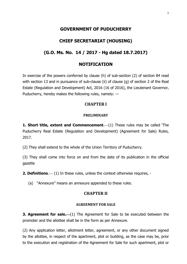## **GOVERNMENT OF PUDUCHERRY**

## **CHIEF SECRETARIAT (HOUSING)**

## **(G.O. Ms. No. 14 / 2017 - Hg dated 18.7.2017)**

## **NOTIFICATION**

<span id="page-4-0"></span>In exercise of the powers conferred by clause (h) of sub-section (2) of section 84 read with section 13 and in pursuance of sub-clause (ii) of clause (g) of section 2 of the Real Estate (Regulation and Development) Act, 2016 (16 of 2016), the Lieutenant Governor, Puducherry, hereby makes the following rules, namely: —

### **CHAPTER I**

#### **PRELIMINARY**

<span id="page-4-2"></span><span id="page-4-1"></span>**1. Short title, extent and Commencement.** (1) These rules may be called 'The Puducherry Real Estate (Regulation and Development) (Agreement for Sale) Rules, 2017.

(2) They shall extend to the whole of the Union Territory of Puducherry.

(3) They shall come into force on and from the date of its publication in the official gazette

<span id="page-4-3"></span>**2. Definitions.** (1) In these rules, unless the context otherwise requires, -

<span id="page-4-4"></span>(a) "Annexure" means an annexure appended to these rules.

#### **CHAPTER II**

#### **AGREEMENT FOR SALE**

<span id="page-4-6"></span><span id="page-4-5"></span>**3. Agreement for sale.** (1) The Agreement for Sale to be executed between the promoter and the allottee shall be in the form as per Annexure.

(2) Any application letter, allotment letter, agreement, or any other document signed by the allottee, in respect of the apartment, plot or building, as the case may be, prior to the execution and registration of the Agreement for Sale for such apartment, plot or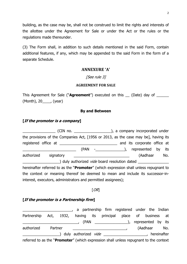building, as the case may be, shall not be construed to limit the rights and interests of the allottee under the Agreement for Sale or under the Act or the rules or the regulations made thereunder.

<span id="page-5-0"></span>(3) The Form shall, in addition to such details mentioned in the said Form, contain additional features, if any, which may be appended to the said Form in the form of a separate Schedule.

#### **ANNEXURE 'A'**

#### [See rule 3]

#### **AGREEMENT FOR SALE**

<span id="page-5-1"></span>This Agreement for Sale ("**Agreement**") executed on this \_\_ (Date) day of \_\_\_\_\_\_ (Month), 20\_\_\_\_, (year)

#### **By and Between**

#### **[If the promoter is a company]**

|                                                               | the provisions of the Companies Act, [1956 or 2013, as the case may be], having its            |
|---------------------------------------------------------------|------------------------------------------------------------------------------------------------|
|                                                               | and its corporate office at                                                                    |
| (PAN                                                          |                                                                                                |
| authorized<br>signatory                                       | (Aadhaar No.                                                                                   |
|                                                               | ____) duly authorized <i>vide</i> board resolution dated _________                             |
|                                                               | hereinafter referred to as the " <b>Promoter</b> " (which expression shall unless repugnant to |
|                                                               | the context or meaning thereof be deemed to mean and include its successor-in-                 |
| interest, executors, administrators and permitted assignees); |                                                                                                |

#### $[OR]$

#### **[If the promoter is a Partnership firm]**

\_\_\_\_\_\_\_\_\_\_\_\_\_\_\_\_\_\_\_\_\_\_\_\_, a partnership firm registered under the Indian Partnership Act, 1932, having its principal place of business at \_\_\_\_\_\_\_\_\_\_\_\_\_\_\_\_\_\_\_\_\_\_\_\_\_\_\_, (PAN \_\_\_\_\_\_\_\_\_\_\_\_\_\_\_\_), represented by its authorized Partner and Partner and Partner and Partner and Partner and Partner and Partner and Partner and Par ) duly authorized *vide* \_\_\_\_\_\_\_\_\_\_\_\_\_\_\_\_\_\_\_, hereinafter referred to as the "Promoter" (which expression shall unless repugnant to the context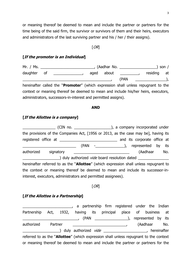or meaning thereof be deemed to mean and include the partner or partners for the time being of the said firm, the survivor or survivors of them and their heirs, executors and administrators of the last surviving partner and his / her / their assigns).

#### $[OR]$

#### **[If the promoter is an Individual]**

Mr. / Ms. 2001 2002 2003 2004 2005 2006 2007 2008 2009 2007 2008 2009 2007 2008 2009 2007 2008 2009 2009 2009 2 daughter of \_\_\_\_\_\_\_\_\_\_\_\_\_\_, aged about \_\_\_\_\_\_\_ , residing at  $(PAN$   $)$ , hereinafter called the "**Promoter**" (which expression shall unless repugnant to the context or meaning thereof be deemed to mean and include his/her heirs, executors, administrators, successors-in-interest and permitted assigns).

#### **AND**

#### **[If the Allottee is a company]**

\_\_\_\_\_\_\_\_\_\_\_\_\_\_\_\_ (CIN no. \_\_\_\_\_\_\_\_\_\_\_\_\_\_\_\_\_\_), a company incorporated under the provisions of the Companies Act, [1956 or 2013, as the case may be], having its registered office at \_\_\_\_\_\_\_\_\_\_\_\_\_\_\_\_\_\_\_\_\_\_\_\_\_\_\_\_ and its corporate office at (PAN - ), represented by its authorized signatory **and the signatory** and the state of the state of the state of the state of the state of th ) duly authorized *vide* board resolution dated hereinafter referred to as the "**Allottee**" (which expression shall unless repugnant to the context or meaning thereof be deemed to mean and include its successor-ininterest, executors, administrators and permitted assignees).

#### $[OR]$

### **[If the Allottee is a Partnership]**

\_\_\_\_\_\_\_\_\_\_\_\_\_\_\_\_\_\_\_\_\_\_\_\_, a partnership firm registered under the Indian Partnership Act, 1932, having its principal place of business at \_\_\_\_\_\_\_\_\_\_\_\_\_\_\_\_\_\_\_\_\_\_\_\_\_\_\_, (PAN \_\_\_\_\_\_\_\_\_\_\_\_\_\_\_\_), represented by its authorized Partner authorized Partner authorized Partner and Partner and Partner and Partner and Partner and P ) duly authorized *vide* example the series of the series of the series of the series of the series of the series of the series of the series of the series of the series of the series of the series of the series of the ser referred to as the "**Allottee**" (which expression shall unless repugnant to the context or meaning thereof be deemed to mean and include the partner or partners for the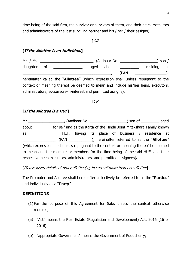time being of the said firm, the survivor or survivors of them, and their heirs, executors and administrators of the last surviving partner and his / her / their assigns)**.** 

#### $[OR]$

### **[If the Allottee is an Individual]**

Mr. / Ms. \_\_\_\_\_\_\_\_\_\_\_\_\_\_\_\_\_\_\_\_\_\_\_\_\_\_, (Aadhaar No. \_\_\_\_\_\_\_\_\_\_\_\_\_\_\_\_\_\_) son / daughter of \_\_\_\_\_\_\_\_\_\_\_\_\_\_, aged about \_\_\_\_\_\_\_ , residing at  $(PAN$  ,  $\qquad \qquad$  ), hereinafter called the "**Allottee**" (which expression shall unless repugnant to the context or meaning thereof be deemed to mean and include his/her heirs, executors, administrators, successors-in-interest and permitted assigns).

#### $[OR]$

### **[If the Allottee is a HUF]**

Mr.**\_\_\_\_\_\_\_\_\_\_\_\_\_\_\_,** (Aadhaar No. \_\_\_\_\_\_\_\_\_\_\_\_\_\_\_\_\_\_) son of \_\_\_\_\_\_\_\_\_ aged about \_\_\_\_\_\_\_\_\_ for self and as the Karta of the Hindu Joint Mitakshara Family known as \_\_\_\_\_\_\_\_\_\_\_\_\_ HUF, having its place of business / residence at \_\_\_\_\_\_\_\_\_\_\_\_\_\_\_\_, (PAN \_\_\_\_\_\_\_\_\_\_\_), hereinafter referred to as the ―**Allottee**‖ (which expression shall unless repugnant to the context or meaning thereof be deemed to mean and the member or members for the time being of the said HUF, and their respective heirs executors, administrators, and permitted assignees)**.** 

#### [Please insert details of other allottee(s), in case of more than one allottee]

The Promoter and Allottee shall hereinafter collectively be referred to as the "**Parties**" and individually as a "**Party**".

#### **DEFINITIONS**

- (1) For the purpose of this Agreement for Sale, unless the context otherwise requires,-
- (a) "Act" means the Real Estate (Regulation and Development) Act, 2016 (16 of 2016);
- (b) "appropriate Government" means the Government of Puducherry;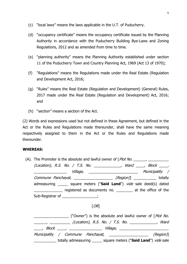- (c) "local laws" means the laws applicable in the U.T. of Puducherry.
- (d) "occupancy certificate" means the occupancy certificate issued by the Planning Authority in accordance with the Puducherry Building Bye-Laws and Zoning Regulations, 2012 and as amended from time to time.
- (e) "planning authority" means the Planning Authority established under section 11 of the Puducherry Town and Country Planning Act, 1969 (Act 13 of 1970);
- (f) "Regulations" means the Regulations made under the Real Estate (Regulation and Development Act, 2016;
- (g) "Rules" means the Real Estate (Regulation and Development) (General) Rules, 2017 made under the Real Estate (Regulation and Development) Act, 2016; and
- $(h)$  "section" means a section of the Act.

(2) Words and expressions used but not defined in these Agreement, but defined in the Act or the Rules and Regulations made thereunder, shall have the same meaning respectively assigned to them in the Act or the Rules and Regulations made thereunder.

#### **WHEREAS:**

(A). The Promoter is the absolute and lawful owner of  $[Plot No. \_ \_ \_ \_ \_ \_ \_ \_ \_ \_ \_ \_ \_ \_ \_ \_ \_ \_$ (Location), R.S. No. / T.S. No. \_\_\_\_\_\_\_\_\_\_\_, Ward \_\_\_, Block \_\_\_, \_\_\_\_\_\_\_\_\_\_\_\_\_\_\_\_ Village, \_\_\_\_\_\_\_\_\_\_\_\_\_\_\_\_\_\_\_\_\_\_\_\_ Municipality / Commune Panchayat, \_\_\_\_\_\_\_\_\_\_\_\_\_\_\_\_\_\_\_\_\_ (Region)] \_\_\_\_\_\_\_\_\_\_\_\_ totally admeasuring \_\_\_\_\_\_ square meters ("**Said Land**") *vide* sale deed(s) dated \_\_\_\_\_\_\_\_\_\_\_\_\_\_ registered as documents no. \_\_\_\_\_\_\_\_ at the office of the Sub-Registrar of \_\_\_\_\_\_\_\_\_\_\_\_\_\_\_\_;

 $[OR]$ 

\_\_\_\_\_\_\_\_\_\_\_\_\_\_\_\_\_\_\_\_\_ ("Owner") is the absolute and lawful owner of [Plot No. \_\_\_\_\_\_, \_\_\_\_\_\_\_\_\_\_ (Location), R.S. No. / T.S. No. \_\_\_\_\_\_\_\_\_\_\_\_\_, Ward \_\_\_\_, Block \_\_\_\_, \_\_\_\_\_\_\_\_\_\_\_\_\_\_\_\_ Village, \_\_\_\_\_\_\_\_\_\_\_\_\_\_\_\_\_\_\_\_\_\_\_\_ Municipality / Commune Panchayat, the control of the control (Region)] \_\_\_\_\_\_\_\_\_\_\_ totally admeasuring \_\_\_\_\_\_ square meters ("**Said Land**") *vide* sale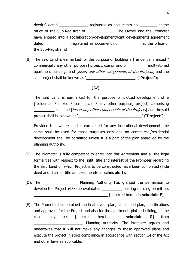deed(s) dated \_\_\_\_\_\_\_\_\_\_\_\_\_\_\_ registered as documents no. \_\_\_\_\_\_\_\_\_ at the office of the Sub-Registrar of The Owner and the Promoter have entered into a [collaboration/development/joint development] agreement dated **example 2** registered as document no. \_\_\_\_\_\_\_\_\_\_\_ at the office of the Sub-Registrar of \_\_\_\_\_\_\_\_\_\_;

(B). The said Land is earmarked for the purpose of building a [residential / mixed / commercial / any other purpose] project, comprising of \_\_\_\_\_\_\_\_\_ multi-storied apartment buildings and *[insert any other components of the Projects*] and the said project shall be known as `\_\_\_\_\_\_\_\_\_\_\_\_\_\_\_\_\_\_\_\_\_\_\_\_\_\_\_\_\_\_' ("**Project**");

#### $[OR]$

The said Land is earmarked for the purpose of plotted development of a [residential / mixed / commercial / any other purpose] project, comprising plots and [*insert any other components of the Projects*] and the said project shall be known as `\_\_\_\_\_\_\_\_\_\_\_\_\_\_\_\_\_\_\_\_\_\_\_\_\_\_\_\_\_\_\_\_\_' ("**Project**"):

Provided that where land is earmarked for any institutional development, the same shall be used for those purposes only and no commercial/residential development shall be permitted unless it is a part of the plan approved by the planning authority.

- (C). The Promoter is fully competent to enter into this Agreement and all the legal formalities with respect to the right, title and interest of the Promoter regarding the Said Land on which Project is to be constructed have been completed (Title deed and chain of title annexed hereto in **schedule I**);
- (D). The \_\_\_\_\_\_\_\_\_\_\_\_\_\_\_\_\_ Planning Authority has granted the permission to develop the Project *vide* approval dated \_\_\_\_\_\_\_\_\_\_\_ bearing building permit no. \_\_\_\_\_\_\_\_\_\_\_\_\_\_\_\_\_\_\_\_\_\_\_\_\_\_\_\_\_\_\_\_\_\_\_\_ [annexed hereto in **schedule F**];
- (E). The Promoter has obtained the final layout plan, sanctioned plan, specifications and approvals for the Project and also for the apartment, plot or building, as the case may be, [annexed hereto in **schedule G**] from Planning Authority. The Promoter agrees and undertakes that it will not make any changes to these approved plans and execute the project in strict compliance in accordance with section 14 of the Act and other laws as applicable;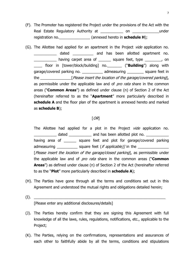- (F). The Promoter has registered the Project under the provisions of the Act with the Real Estate Regulatory Authority at \_\_\_\_\_\_\_\_\_\_\_\_\_ on \_\_\_\_\_\_\_\_\_\_\_\_\_\_under registration no.\_\_\_\_\_\_\_\_\_\_\_\_\_\_\_ (annexed hereto in **schedule H**);
- (G). The Allottee had applied for an apartment in the Project *vide* application no. dated and has been allotted apartment no. \_\_\_\_\_\_\_\_\_\_\_ having carpet area of \_\_\_\_\_\_ square feet, type \_\_\_\_\_\_\_\_, on \_\_\_\_ floor in [tower/block/building] no.\_\_\_\_\_\_\_ (―**Building**‖) along with garage/covered parking no. \_\_\_\_\_\_\_\_\_\_\_\_\_ admeasuring \_\_\_\_\_\_\_\_\_ square feet in the **Example 19** [Please insert the location of the garage/covered parking], as permissible under the applicable law and of *pro rata* share in the common areas ("**Common Areas**") as defined under clause (n) of Section 2 of the Act (hereinafter referred to as the "Apartment" more particularly described in **schedule A** and the floor plan of the apartment is annexed hereto and marked as **schedule B**);

#### $[OR]$

The Allottee had applied for a plot in the Project *vide* application no. dated \_\_\_\_\_\_\_\_\_\_\_\_\_ and has been allotted plot no. \_\_\_\_\_\_\_\_\_\_\_\_\_\_\_\_\_\_\_\_\_\_\_\_\_\_\_\_\_ having area of \_\_\_\_\_\_\_ square feet and plot for garage/covered parking admeasuring  $\Box$  square feet (*if applicable)]* in the  $\Box$ [Please insert the location of the garage/closed parking], as permissible under the applicable law and of *pro rata* share in the common areas ("**Common Areas**<sup>"</sup>) as defined under clause (n) of Section 2 of the Act (hereinafter referred to as the "**Plot**" more particularly described in **schedule A**);

- (H). The Parties have gone through all the terms and conditions set out in this Agreement and understood the mutual rights and obligations detailed herein;
- $(I).$ [Please enter any additional disclosures/details]
- (J). The Parties hereby confirm that they are signing this Agreement with full knowledge of all the laws, rules, regulations, notifications, etc., applicable to the Project;
- (K). The Parties, relying on the confirmations, representations and assurances of each other to faithfully abide by all the terms, conditions and stipulations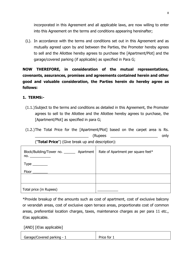incorporated in this Agreement and all applicable laws, are now willing to enter into this Agreement on the terms and conditions appearing hereinafter;

(L). In accordance with the terms and conditions set out in this Agreement and as mutually agreed upon by and between the Parties, the Promoter hereby agrees to sell and the Allottee hereby agrees to purchase the [Apartment/Plot] and the garage/covered parking (if applicable) as specified in Para G;

**NOW THEREFORE, in consideration of the mutual representations, covenants, assurances, promises and agreements contained herein and other good and valuable consideration, the Parties herein do hereby agree as follows:** 

## **1. TERMS:-**

- (1.1.)Subject to the terms and conditions as detailed in this Agreement, the Promoter agrees to sell to the Allottee and the Allottee hereby agrees to purchase, the [Apartment/Plot] as specified in para G;
- (1.2.)The Total Price for the [Apartment/Plot] based on the carpet area is Rs. \_\_\_\_\_\_\_\_\_\_\_\_\_\_\_\_\_\_\_\_\_\_\_\_\_\_ (Rupees \_\_\_\_\_\_\_\_\_\_\_\_\_\_\_\_\_\_\_\_\_\_\_ only ("**Total Price**") (Give break up and description):

| Block/Building/Tower no. ________ Apartment<br>no. | Rate of Apartment per square feet* |
|----------------------------------------------------|------------------------------------|
| $Type \_\_$                                        |                                    |
| Floor                                              |                                    |
|                                                    |                                    |
| Total price (in Rupees)                            |                                    |

\*Provide breakup of the amounts such as cost of apartment, cost of exclusive balcony or verandah areas, cost of exclusive open terrace areas, proportionate cost of common areas, preferential location charges, taxes, maintenance charges as per para 11 etc., if/as applicable.

[AND] [if/as applicable]

| Garage/Covered parking - | Price for |
|--------------------------|-----------|
|--------------------------|-----------|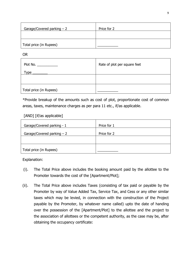| Garage/Covered parking $-2$ | Price for 2 |
|-----------------------------|-------------|
|                             |             |
| Total price (in Rupees)     |             |

OR

| Plot No.                | Rate of plot per square feet |  |
|-------------------------|------------------------------|--|
| Type                    |                              |  |
|                         |                              |  |
|                         |                              |  |
| Total price (in Rupees) |                              |  |

\*Provide breakup of the amounts such as cost of plot, proportionate cost of common areas, taxes, maintenance charges as per para 11 etc., if/as applicable.

### [AND] [if/as applicable]

| Garage/Covered parking - 1  | Price for 1 |
|-----------------------------|-------------|
| Garage/Covered parking $-2$ | Price for 2 |
|                             |             |
| Total price (in Rupees)     |             |

Explanation:

- (i). The Total Price above includes the booking amount paid by the allottee to the Promoter towards the cost of the [Apartment/Plot];
- (ii). The Total Price above includes Taxes (consisting of tax paid or payable by the Promoter by way of Value Added Tax, Service Tax, and Cess or any other similar taxes which may be levied, in connection with the construction of the Project payable by the Promoter, by whatever name called) upto the date of handing over the possession of the [Apartment/Plot] to the allottee and the project to the association of allottees or the competent authority, as the case may be, after obtaining the occupancy certificate: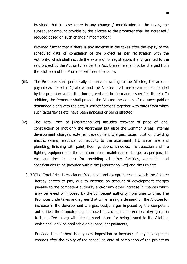Provided that in case there is any change / modification in the taxes, the subsequent amount payable by the allottee to the promoter shall be increased / reduced based on such change / modification:

Provided further that if there is any increase in the taxes after the expiry of the scheduled date of completion of the project as per registration with the Authority, which shall include the extension of registration, if any, granted to the said project by the Authority, as per the Act, the same shall not be charged from the allottee and the Promoter will bear the same;

- (iii). The Promoter shall periodically intimate in writing to the Allottee, the amount payable as stated in (i) above and the Allottee shall make payment demanded by the promoter within the time agreed and in the manner specified therein. In addition, the Promoter shall provide the Allottee the details of the taxes paid or demanded along with the acts/rules/notifications together with dates from which such taxes/levies etc. have been imposed or being effected;
- (iv). The Total Price of [Apartment/Plot] includes recovery of price of land, construction of [not only the Apartment but also] the Common Areas, internal development charges, external development charges, taxes, cost of providing electric wiring, electrical connectivity to the apartment, lift, water line and plumbing, finishing with paint, flooring, doors, windows, fire detection and fire fighting equipments in the common areas, maintenance charges as per para 11 etc. and includes cost for providing all other facilities, amenities and specifications to be provided within the [Apartment/Plot] and the Project;
	- (1.3.)The Total Price is escalation-free, save and except increases which the Allottee hereby agrees to pay, due to increase on account of development charges payable to the competent authority and/or any other increase in charges which may be levied or imposed by the competent authority from time to time. The Promoter undertakes and agrees that while raising a demand on the Allottee for increase in the development charges, cost/charges imposed by the competent authorities, the Promoter shall enclose the said notification/order/rule/regulation to that effect along with the demand letter, for being issued to the Allottee, which shall only be applicable on subsequent payments;

Provided that if there is any new imposition or increase of any development charges after the expiry of the scheduled date of completion of the project as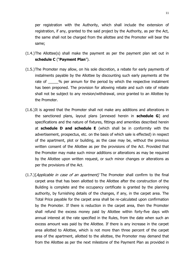per registration with the Authority, which shall include the extension of registration, if any, granted to the said project by the Authority, as per the Act, the same shall not be charged from the allottee and the Promoter will bear the same;

- (1.4.)The Allottee(s) shall make the payment as per the payment plan set out in schedule C ("Payment Plan").
- (1.5.)The Promoter may allow, on his sole discretion, a rebate for early payments of instalments payable by the Allottee by discounting such early payments at the rate of 2% per annum for the period by which the respective instalment has been preponed. The provision for allowing rebate and such rate of rebate shall not be subject to any revision/withdrawal, once granted to an Allottee by the Promoter.
- (1.6.)It is agreed that the Promoter shall not make any additions and alterations in the sanctioned plans, layout plans [annexed herein in **schedule G**] and specifications and the nature of fixtures, fittings and amenities described herein at **schedule D and schedule E** (which shall be in conformity with the advertisement, prospectus, etc. on the basis of which sale is effected) in respect of the apartment, plot or building, as the case may be, without the previous written consent of the Allottee as per the provisions of the Act. Provided that the Promoter may make such minor additions or alterations as may be required by the Allottee upon written request, or such minor changes or alterations as per the provisions of the Act.
- $(1.7.)$ [Applicable in case of an apartment] The Promoter shall confirm to the final carpet area that has been allotted to the Allottee after the construction of the Building is complete and the occupancy certificate is granted by the planning authority, by furnishing details of the changes, if any, in the carpet area. The Total Price payable for the carpet area shall be re-calculated upon confirmation by the Promoter. If there is reduction in the carpet area, then the Promoter shall refund the excess money paid by Allottee within forty-five days with annual interest at the rate specified in the Rules, from the date when such an excess amount was paid by the Allottee. If there is any increase in the carpet area allotted to Allottee, which is not more than three percent of the carpet area of the apartment, allotted to the allottee, the Promoter may demand that from the Allottee as per the next milestone of the Payment Plan as provided in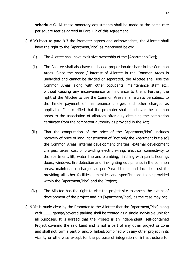**schedule C**. All these monetary adjustments shall be made at the same rate per square feet as agreed in Para 1.2 of this Agreement.

- (1.8.)Subject to para 9.3 the Promoter agrees and acknowledges, the Allottee shall have the right to the [Apartment/Plot] as mentioned below:
	- (i). The Allottee shall have exclusive ownership of the [Apartment/Plot];
	- (ii). The Allottee shall also have undivided proportionate share in the Common Areas. Since the share / interest of Allottee in the Common Areas is undivided and cannot be divided or separated, the Allottee shall use the Common Areas along with other occupants, maintenance staff etc., without causing any inconvenience or hindrance to them. Further, the right of the Allottee to use the Common Areas shall always be subject to the timely payment of maintenance charges and other charges as applicable. It is clarified that the promoter shall hand over the common areas to the association of allottees after duly obtaining the completion certificate from the competent authority as provided in the Act;
	- (iii). That the computation of the price of the [Apartment/Plot] includes recovery of price of land, construction of [not only the Apartment but also] the Common Areas, internal development charges, external development charges, taxes, cost of providing electric wiring, electrical connectivity to the apartment, lift, water line and plumbing, finishing with paint, flooring, doors, windows, fire detection and fire-fighting equipments in the common areas, maintenance charges as per Para 11 etc. and includes cost for providing all other facilities, amenities and specifications to be provided within the [Apartment/Plot] and the Project;
	- (iv). The Allottee has the right to visit the project site to assess the extent of development of the project and his [Apartment/Plot], as the case may be;
- (1.9.)It is made clear by the Promoter to the Allottee that the [Apartment/Plot] along with qarage/covered parking shall be treated as a single indivisible unit for all purposes. It is agreed that the Project is an independent, self-contained Project covering the said Land and is not a part of any other project or zone and shall not form a part of and/or linked/combined with any other project in its vicinity or otherwise except for the purpose of integration of infrastructure for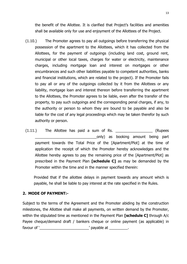the benefit of the Allottee. It is clarified that Project's facilities and amenities shall be available only for use and enjoyment of the Allottees of the Project.

- (1.10.) The Promoter agrees to pay all outgoings before transferring the physical possession of the apartment to the Allottees, which it has collected from the Allottees, for the payment of outgoings (including land cost, ground rent, municipal or other local taxes, charges for water or electricity, maintenance charges, including mortgage loan and interest on mortgages or other encumbrances and such other liabilities payable to competent authorities, banks and financial institutions, which are related to the project). If the Promoter fails to pay all or any of the outgoings collected by it from the Allottees or any liability, mortgage loan and interest thereon before transferring the apartment to the Allottees, the Promoter agrees to be liable, even after the transfer of the property, to pay such outgoings and the corresponding penal charges, if any, to the authority or person to whom they are bound to be payable and also be liable for the cost of any legal proceedings which may be taken therefor by such authority or person.
- $(1.11.)$  The Allottee has paid a sum of Rs.  $(Runees)$ \_\_\_\_\_\_\_\_\_\_\_\_\_\_\_\_\_\_\_\_\_\_\_\_\_\_\_\_\_\_only) as booking amount being part payment towards the Total Price of the [Apartment/Plot] at the time of application the receipt of which the Promoter hereby acknowledges and the Allottee hereby agrees to pay the remaining price of the [Apartment/Plot] as prescribed in the Payment Plan **[schedule C]** as may be demanded by the Promoter within the time and in the manner specified therein:

Provided that if the allottee delays in payment towards any amount which is payable, he shall be liable to pay interest at the rate specified in the Rules.

#### **2. MODE OF PAYMENT:-**

Subject to the terms of the Agreement and the Promoter abiding by the construction milestones, the Allottee shall make all payments, on written demand by the Promoter, within the stipulated time as mentioned in the Payment Plan **[schedule C]** through A/c Payee cheque/demand draft / bankers cheque or online payment (as applicable) in favour of ‗\_\_\_\_\_\_\_\_\_\_\_\_\_\_\_\_\_\_\_\_\_\_\_\_' payable at \_\_\_\_\_\_\_\_\_.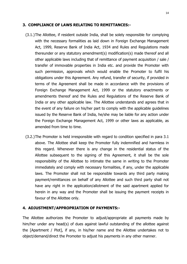#### **3. COMPLIANCE OF LAWS RELATING TO REMITTANCES:-**

- (3.1.)The Allottee, if resident outside India, shall be solely responsible for complying with the necessary formalities as laid down in Foreign Exchange Management Act, 1999, Reserve Bank of India Act, 1934 and Rules and Regulations made thereunder or any statutory amendment(s) modification(s) made thereof and all other applicable laws including that of remittance of payment acquisition / sale / transfer of immovable properties in India etc. and provide the Promoter with such permission, approvals which would enable the Promoter to fulfil his obligations under this Agreement. Any refund, transfer of security, if provided in terms of the Agreement shall be made in accordance with the provisions of Foreign Exchange Management Act, 1999 or the statutory enactments or amendments thereof and the Rules and Regulations of the Reserve Bank of India or any other applicable law. The Allottee understands and agrees that in the event of any failure on his/her part to comply with the applicable guidelines issued by the Reserve Bank of India, he/she may be liable for any action under the Foreign Exchange Management Act, 1999 or other laws as applicable, as amended from time to time.
- (3.2.)The Promoter is held irresponsible with regard to condition specified in para 3.1 above. The Allottee shall keep the Promoter fully indemnified and harmless in this regard. Whenever there is any change in the residential status of the Allottee subsequent to the signing of this Agreement, it shall be the sole responsibility of the Allottee to intimate the same in writing to the Promoter immediately and comply with necessary formalities, if any, under the applicable laws. The Promoter shall not be responsible towards any third party making payment/remittances on behalf of any Allottee and such third party shall not have any right in the application/allotment of the said apartment applied for herein in any way and the Promoter shall be issuing the payment receipts in favour of the Allottee only.

#### **4. ADJUSTMENT/APPROPRIATION OF PAYMENTS:-**

The Allottee authorizes the Promoter to adjust/appropriate all payments made by him/her under any head(s) of dues against lawful outstanding of the allottee against the [Apartment / Plot], if any, in his/her name and the Allottee undertakes not to object/demand/direct the Promoter to adjust his payments in any other manner.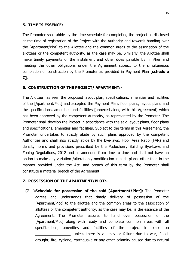#### **5. TIME IS ESSENCE:-**

The Promoter shall abide by the time schedule for completing the project as disclosed at the time of registration of the Project with the Authority and towards handing over the [Apartment/Plot] to the Allottee and the common areas to the association of the allottees or the competent authority, as the case may be. Similarly, the Allottee shall make timely payments of the instalment and other dues payable by him/her and meeting the other obligations under the Agreement subject to the simultaneous completion of construction by the Promoter as provided in Payment Plan [**schedule C]**.

#### **6. CONSTRUCTION OF THE PROJECT/ APARTMENT:-**

The Allottee has seen the proposed layout plan, specifications, amenities and facilities of the [Apartment/Plot] and accepted the Payment Plan, floor plans, layout plans and the specifications, amenities and facilities [annexed along with this Agreement] which has been approved by the competent Authority, as represented by the Promoter. The Promoter shall develop the Project in accordance with the said layout plans, floor plans and specifications, amenities and facilities. Subject to the terms in this Agreement, the Promoter undertakes to strictly abide by such plans approved by the competent Authorities and shall also strictly abide by the bye-laws, Floor Area Ratio (FAR) and density norms and provisions prescribed by the Puducherry Building Bye-Laws and Zoning Regulations, 2012 and as amended from time to time and shall not have an option to make any variation /alteration / modification in such plans, other than in the manner provided under the Act, and breach of this term by the Promoter shall constitute a material breach of the Agreement.

#### **7. POSSESSION OF THE APARTMENT/PLOT:-**

(7.1.) **Schedule for possession of the said [Apartment/Plot]:** The Promoter agrees and understands that timely delivery of possession of the [Apartment/Plot] to the allottee and the common areas to the association of allottees or the competent authority, as the case may be, is the essence of the Agreement. The Promoter assures to hand over possession of the [Apartment/Plot] along with ready and complete common areas with all specifications, amenities and facilities of the project in place on \_\_\_\_\_\_\_\_\_\_\_\_\_\_\_\_\_, unless there is a delay or failure due to war, flood, drought, fire, cyclone, earthquake or any other calamity caused due to natural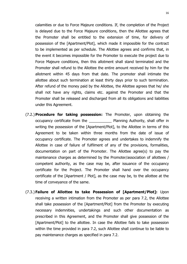calamities or due to Force Majeure conditions. If, the completion of the Project is delayed due to the Force Majeure conditions, then the Allottee agrees that the Promoter shall be entitled to the extension of time, for delivery of possession of the [Apartment/Plot], which made it impossible for the contract to be implemented as per schedule. The Allottee agrees and confirms that, in the event it becomes impossible for the Promoter to execute the project due to Force Majeure conditions, then this allotment shall stand terminated and the Promoter shall refund to the Allottee the entire amount received by him for the allotment within 45 days from that date. The promoter shall intimate the allottee about such termination at least thirty days prior to such termination. After refund of the money paid by the Allottee, the Allottee agrees that he/ she shall not have any rights, claims etc. against the Promoter and that the Promoter shall be released and discharged from all its obligations and liabilities under this Agreement.

- (7.2.) **Procedure for taking possession:** The Promoter, upon obtaining the occupancy certificate from the **No. 2012** Planning Authority, shall offer in writing the possession of the [Apartment/Plot], to the Allottee in terms of this Agreement to be taken within three months from the date of issue of occupancy certificate. The Promoter agrees and undertakes to indemnify the Allottee in case of failure of fulfilment of any of the provisions, formalities, documentation on part of the Promoter. The Allottee agree(s) to pay the maintenance charges as determined by the Promoter/association of allottees / competent authority, as the case may be, after issuance of the occupancy certificate for the Project. The Promoter shall hand over the occupancy certificate of the [Apartment / Plot], as the case may be, to the allottee at the time of conveyance of the same.
- (7.3.) **Failure of Allottee to take Possession of [Apartment/Plot]:** Upon receiving a written intimation from the Promoter as per para 7.2, the Allottee shall take possession of the [Apartment/Plot] from the Promoter by executing necessary indemnities, undertakings and such other documentation as prescribed in this Agreement, and the Promoter shall give possession of the [Apartment/Plot] to the allottee. In case the Allottee fails to take possession within the time provided in para 7.2, such Allottee shall continue to be liable to pay maintenance charges as specified in para 7.2.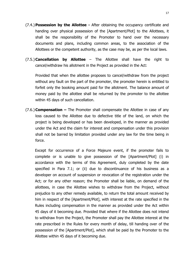- (7.4.) **Possession by the Allottee -** After obtaining the occupancy certificate and handing over physical possession of the [Apartment/Plot] to the Allottees, it shall be the responsibility of the Promoter to hand over the necessary documents and plans, including common areas, to the association of the Allottees or the competent authority, as the case may be, as per the local laws.
- (7.5.) **Cancellation by Allottee**  The Allottee shall have the right to cancel/withdraw his allotment in the Project as provided in the Act:

Provided that when the allottee proposes to cancel/withdraw from the project without any fault on the part of the promoter, the promoter herein is entitled to forfeit only the booking amount paid for the allotment. The balance amount of money paid by the allottee shall be returned by the promoter to the allottee within 45 days of such cancellation.

(7.6.) **Compensation –** The Promoter shall compensate the Allottee in case of any loss caused to the Allottee due to defective title of the land, on which the project is being developed or has been developed, in the manner as provided under the Act and the claim for interest and compensation under this provision shall not be barred by limitation provided under any law for the time being in force.

Except for occurrence of a Force Majeure event, if the promoter fails to complete or is unable to give possession of the [Apartment/Plot] (i) in accordance with the terms of this Agreement, duly completed by the date specified in Para 7.1; or (ii) due to discontinuance of his business as a developer on account of suspension or revocation of the registration under the Act; or for any other reason; the Promoter shall be liable, on demand of the allottees, in case the Allottee wishes to withdraw from the Project, without prejudice to any other remedy available, to return the total amount received by him in respect of the [Apartment/Plot], with interest at the rate specified in the Rules including compensation in the manner as provided under the Act within 45 days of it becoming due. Provided that where if the Allottee does not intend to withdraw from the Project, the Promoter shall pay the Allottee interest at the rate prescribed in the Rules for every month of delay, till handing over of the possession of the [Apartment/Plot], which shall be paid by the Promoter to the Allottee within 45 days of it becoming due.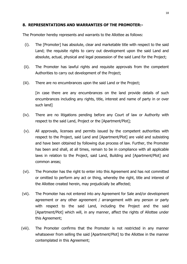#### **8. REPRESENTATIONS AND WARRANTIES OF THE PROMOTER:-**

The Promoter hereby represents and warrants to the Allottee as follows:

- (i). The [Promoter] has absolute, clear and marketable title with respect to the said Land; the requisite rights to carry out development upon the said Land and absolute, actual, physical and legal possession of the said Land for the Project;
- (ii). The Promoter has lawful rights and requisite approvals from the competent Authorities to carry out development of the Project;
- (iii). There are no encumbrances upon the said Land or the Project;

[in case there are any encumbrances on the land provide details of such encumbrances including any rights, title, interest and name of party in or over such land]

- (iv). There are no litigations pending before any Court of law or Authority with respect to the said Land, Project or the [Apartment/Plot];
- (v). All approvals, licenses and permits issued by the competent authorities with respect to the Project, said Land and [Apartment/Plot] are valid and subsisting and have been obtained by following due process of law. Further, the Promoter has been and shall, at all times, remain to be in compliance with all applicable laws in relation to the Project, said Land, Building and [Apartment/Plot] and common areas;
- (vi). The Promoter has the right to enter into this Agreement and has not committed or omitted to perform any act or thing, whereby the right, title and interest of the Allottee created herein, may prejudicially be affected;
- (vii). The Promoter has not entered into any Agreement for Sale and/or development agreement or any other agreement / arrangement with any person or party with respect to the said Land, including the Project and the said [Apartment/Plot] which will, in any manner, affect the rights of Allottee under this Agreement;
- (viii). The Promoter confirms that the Promoter is not restricted in any manner whatsoever from selling the said [Apartment/Plot] to the Allottee in the manner contemplated in this Agreement;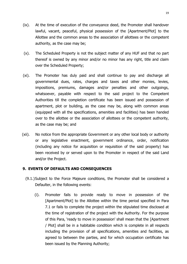- (ix). At the time of execution of the conveyance deed, the Promoter shall handover lawful, vacant, peaceful, physical possession of the [Apartment/Plot] to the Allottee and the common areas to the association of allottees or the competent authority, as the case may be;
- (x). The Scheduled Property is not the subject matter of any HUF and that no part thereof is owned by any minor and/or no minor has any right, title and claim over the Scheduled Property;
- (xi). The Promoter has duly paid and shall continue to pay and discharge all governmental dues, rates, charges and taxes and other monies, levies, impositions, premiums, damages and/or penalties and other outgoings, whatsoever, payable with respect to the said project to the Competent Authorities till the completion certificate has been issued and possession of apartment, plot or building, as the case may be, along with common areas (equipped with all the specifications, amenities and facilities) has been handed over to the allottee or the association of allottees or the competent authority, as the case may be; and
- (xii). No notice from the appropriate Government or any other local body or authority or any legislative enactment, government ordinance, order, notification (including any notice for acquisition or requisition of the said property) has been received by or served upon to the Promoter in respect of the said Land and/or the Project.

#### **9. EVENTS OF DEFAULTS AND CONSEQUENCES**

- (9.1.)Subject to the Force Majeure conditions, the Promoter shall be considered a Defaulter, in the following events:
	- (i). Promoter fails to provide ready to move in possession of the [Apartment/Plot] to the Allottee within the time period specified in Para 7.1 or fails to complete the project within the stipulated time disclosed at the time of registration of the project with the Authority. For the purpose of this Para, 'ready to move in possession' shall mean that the [Apartment / Plot] shall be in a habitable condition which is complete in all respects including the provision of all specifications, amenities and facilities, as agreed to between the parties, and for which occupation certificate has been issued by the Planning Authority;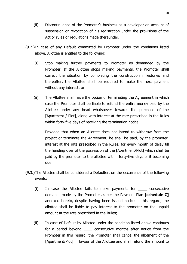- (ii). Discontinuance of the Promoter's business as a developer on account of suspension or revocation of his registration under the provisions of the Act or rules or regulations made thereunder.
- (9.2.)In case of any Default committed by Promoter under the conditions listed above, Allottee is entitled to the following:
	- (i). Stop making further payments to Promoter as demanded by the Promoter. If the Allottee stops making payments, the Promoter shall correct the situation by completing the construction milestones and thereafter, the Allottee shall be required to make the next payment without any interest; or
	- (ii). The Allottee shall have the option of terminating the Agreement in which case the Promoter shall be liable to refund the entire money paid by the Allottee under any head whatsoever towards the purchase of the [Apartment / Plot], along with interest at the rate prescribed in the Rules within forty-five days of receiving the termination notice:

Provided that when an Allottee does not intend to withdraw from the project or terminate the Agreement, he shall be paid, by the promoter, interest at the rate prescribed in the Rules, for every month of delay till the handing over of the possession of the [Apartment/Plot] which shall be paid by the promoter to the allottee within forty-five days of it becoming due.

- (9.3.)The Allottee shall be considered a Defaulter, on the occurrence of the following events:
	- (i). In case the Allottee fails to make payments for \_\_\_\_ consecutive demands made by the Promoter as per the Payment Plan **[schedule C]** annexed hereto, despite having been issued notice in this regard, the allottee shall be liable to pay interest to the promoter on the unpaid amount at the rate prescribed in the Rules;
	- (ii). In case of Default by Allottee under the condition listed above continues for a period beyond \_\_\_\_ consecutive months after notice from the Promoter in this regard, the Promoter shall cancel the allotment of the [Apartment/Plot] in favour of the Allottee and shall refund the amount to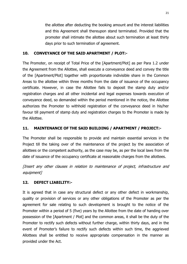the allottee after deducting the booking amount and the interest liabilities and this Agreement shall thereupon stand terminated. Provided that the promoter shall intimate the allottee about such termination at least thirty days prior to such termination of agreement.

## **10. CONVEYANCE OF THE SAID APARTMENT / PLOT:-**

The Promoter, on receipt of Total Price of the [Apartment/Plot] as per Para 1.2 under the Agreement from the Allottee, shall execute a conveyance deed and convey the title of the [Apartment/Plot] together with proportionate indivisible share in the Common Areas to the allottee within three months from the date of issuance of the occupancy certificate. However, in case the Allottee fails to deposit the stamp duty and/or registration charges and all other incidental and legal expenses towards execution of conveyance deed, so demanded within the period mentioned in the notice, the Allottee authorizes the Promoter to withhold registration of the conveyance deed in his/her favour till payment of stamp duty and registration charges to the Promoter is made by the Allottee.

## **11. MAINTENANCE OF THE SAID BUILDING / APARTMENT / PROJECT:-**

The Promoter shall be responsible to provide and maintain essential services in the Project till the taking over of the maintenance of the project by the association of allottees or the competent authority, as the case may be, as per the local laws from the date of issuance of the occupancy certificate at reasonable charges from the allottees.

[Insert any other clauses in relation to maintenance of project, infrastructure and equipment]

## **12. DEFECT LIABILITY:-**

It is agreed that in case any structural defect or any other defect in workmanship, quality or provision of services or any other obligations of the Promoter as per the agreement for sale relating to such development is brought to the notice of the Promoter within a period of 5 (five) years by the Allottee from the date of handing over possession of the [Apartment / Plot] and the common areas, it shall be the duty of the Promoter to rectify such defects without further charge, within thirty days, and in the event of Promoter's failure to rectify such defects within such time, the aggrieved Allottees shall be entitled to receive appropriate compensation in the manner as provided under the Act.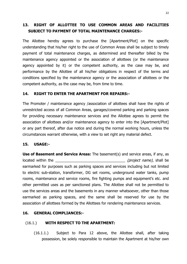## **13. RIGHT OF ALLOTTEE TO USE COMMON AREAS AND FACILITIES SUBJECT TO PAYMENT OF TOTAL MAINTENANCE CHARGES:-**

The Allottee hereby agrees to purchase the [Apartment/Plot] on the specific understanding that his/her right to the use of Common Areas shall be subject to timely payment of total maintenance charges, as determined and thereafter billed by the maintenance agency appointed or the association of allottees (or the maintenance agency appointed by it) or the competent authority, as the case may be, and performance by the Allottee of all his/her obligations in respect of the terms and conditions specified by the maintenance agency or the association of allottees or the competent authority, as the case may be, from time to time.

#### **14. RIGHT TO ENTER THE APARTMENT FOR REPAIRS:-**

The Promoter / maintenance agency /association of allottees shall have the rights of unrestricted access of all Common Areas, garages/covered parking and parking spaces for providing necessary maintenance services and the Allottee agrees to permit the association of allottees and/or maintenance agency to enter into the [Apartment/Plot] or any part thereof, after due notice and during the normal working hours, unless the circumstances warrant otherwise, with a view to set right any material defect.

#### **15. USAGE:-**

**Use of Basement and Service Areas:** The basement(s) and service areas, if any, as located within the  $(\text{project name})$ , shall be earmarked for purposes such as parking spaces and services including but not limited to electric sub-station, transformer, DG set rooms, underground water tanks, pump rooms, maintenance and service rooms, fire fighting pumps and equipment's etc. and other permitted uses as per sanctioned plans. The Allottee shall not be permitted to use the services areas and the basements in any manner whatsoever, other than those earmarked as parking spaces, and the same shall be reserved for use by the association of allottees formed by the Allottees for rendering maintenance services.

#### **16. GENERAL COMPLIANCES:-**

#### (16.1.) **WITH RESPECT TO THE APARTMENT:**

(16.1.1.) Subject to Para 12 above, the Allottee shall, after taking possession, be solely responsible to maintain the Apartment at his/her own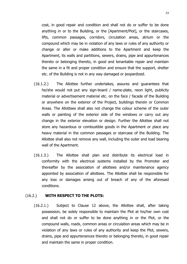cost, in good repair and condition and shall not do or suffer to be done anything in or to the Building, or the [Apartment/Plot], or the staircases, lifts, common passages, corridors, circulation areas, atrium or the compound which may be in violation of any laws or rules of any authority or change or alter or make additions to the Apartment and keep the Apartment, its walls and partitions, sewers, drains, pipe and appurtenances thereto or belonging thereto, in good and tenantable repair and maintain the same in a fit and proper condition and ensure that the support, shelter etc. of the Building is not in any way damaged or jeopardized.

- (16.1.2.) The Allottee further undertakes, assures and guarantees that he/she would not put any sign-board / name-plate, neon light, publicity material or advertisement material etc. on the face / facade of the Building or anywhere on the exterior of the Project, buildings therein or Common Areas. The Allottees shall also not change the colour scheme of the outer walls or painting of the exterior side of the windows or carry out any change in the exterior elevation or design. Further the Allottee shall not store any hazardous or combustible goods in the Apartment or place any heavy material in the common passages or staircase of the Building. The Allottee shall also not remove any wall, including the outer and load bearing wall of the Apartment.
- (16.1.3.) The Allottee shall plan and distribute its electrical load in conformity with the electrical systems installed by the Promoter and thereafter by the association of allottees and/or maintenance agency appointed by association of allottees. The Allottee shall be responsible for any loss or damages arising out of breach of any of the aforesaid conditions.

#### (16.2.) **WITH RESPECT TO THE PLOTS:**

(16.2.1.) Subject to Clause 12 above, the Allottee shall, after taking possession, be solely responsible to maintain the Plot at his/her own cost and shall not do or suffer to be done anything in or the Plot, or the compound walls, roads, common areas or circulation areas which may be in violation of any laws or rules of any authority and keep the Plot, sewers, drains, pipe and appurtenances thereto or belonging thereto, in good repair and maintain the same in proper condition.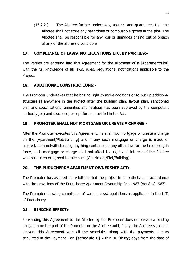(16.2.2.) The Allottee further undertakes, assures and guarantees that the Allottee shall not store any hazardous or combustible goods in the plot. The Allottee shall be responsible for any loss or damages arising out of breach of any of the aforesaid conditions.

## **17. COMPLIANCE OF LAWS, NOTIFICATIONS ETC. BY PARTIES:-**

The Parties are entering into this Agreement for the allotment of a [Apartment/Plot] with the full knowledge of all laws, rules, regulations, notifications applicable to the Project.

## **18. ADDITIONAL CONSTRUCTIONS:-**

The Promoter undertakes that he has no right to make additions or to put up additional structure(s) anywhere in the Project after the building plan, layout plan, sanctioned plan and specifications, amenities and facilities has been approved by the competent authority(ies) and disclosed, except for as provided in the Act.

## **19. PROMOTER SHALL NOT MORTGAGE OR CREATE A CHARGE:-**

After the Promoter executes this Agreement, he shall not mortgage or create a charge on the [Apartment/Plot/Building] and if any such mortgage or charge is made or created, then notwithstanding anything contained in any other law for the time being in force, such mortgage or charge shall not affect the right and interest of the Allottee who has taken or agreed to take such [Apartment/Plot/Building].

## **20. THE PUDUCHERRY APARTMENT OWNERSHIP ACT:-**

The Promoter has assured the Allottees that the project in its entirety is in accordance with the provisions of the Puducherry Apartment Ownership Act, 1987 (Act 8 of 1987).

The Promoter showing compliance of various laws/regulations as applicable in the U.T. of Puducherry.

#### **21. BINDING EFFECT:-**

Forwarding this Agreement to the Allottee by the Promoter does not create a binding obligation on the part of the Promoter or the Allottee until, firstly, the Allottee signs and delivers this Agreement with all the schedules along with the payments due as stipulated in the Payment Plan **[schedule C]** within 30 (thirty) days from the date of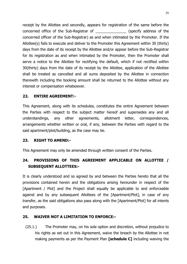receipt by the Allottee and secondly, appears for registration of the same before the concerned office of the Sub-Registrar of \_\_\_\_\_\_\_\_\_\_\_\_\_\_\_ (specify address of the concerned officer of the Sub-Registrar) as and when intimated by the Promoter. If the Allottee(s) fails to execute and deliver to the Promoter this Agreement within 30 (thirty) days from the date of its receipt by the Allottee and/or appear before the Sub-Registrar for its registration as and when intimated by the Promoter, then the Promoter shall serve a notice to the Allottee for rectifying the default, which if not rectified within 30(thirty) days from the date of its receipt by the Allottee, application of the Allottee shall be treated as cancelled and all sums deposited by the Allottee in connection therewith including the booking amount shall be returned to the Allottee without any interest or compensation whatsoever.

### **22. ENTIRE AGREEMENT:-**

This Agreement, along with its schedules, constitutes the entire Agreement between the Parties with respect to the subject matter hereof and supersedes any and all understandings, any other agreements, allotment letter, correspondences, arrangements whether written or oral, if any, between the Parties with regard to the said apartment/plot/building, as the case may be.

#### **23. RIGHT TO AMEND:-**

This Agreement may only be amended through written consent of the Parties.

## **24. PROVISIONS OF THIS AGREEMENT APPLICABLE ON ALLOTTEE / SUBSEQUENT ALLOTTEES:-**

It is clearly understood and so agreed by and between the Parties hereto that all the provisions contained herein and the obligations arising hereunder in respect of the [Apartment / Plot] and the Project shall equally be applicable to and enforceable against and by any subsequent Allottees of the [Apartment/Plot], in case of any transfer, as the said obligations also pass along with the [Apartment/Plot] for all intents and purposes.

## **25. WAIVER NOT A LIMITATION TO ENFORCE:-**

(25.1.) The Promoter may, on his sole option and discretion, without prejudice to his rights as set out in this Agreement, waive the breach by the Allottee in not making payments as per the Payment Plan **[schedule C]** including waiving the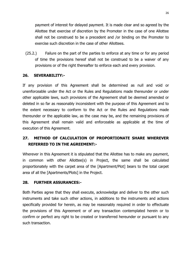payment of interest for delayed payment. It is made clear and so agreed by the Allottee that exercise of discretion by the Promoter in the case of one Allottee shall not be construed to be a precedent and /or binding on the Promoter to exercise such discretion in the case of other Allottees.

(25.2.) Failure on the part of the parties to enforce at any time or for any period of time the provisions hereof shall not be construed to be a waiver of any provisions or of the right thereafter to enforce each and every provision.

#### **26. SEVERABILITY:-**

If any provision of this Agreement shall be determined as null and void or unenforceable under the Act or the Rules and Regulations made thereunder or under other applicable laws, such provisions of the Agreement shall be deemed amended or deleted in so far as reasonably inconsistent with the purpose of this Agreement and to the extent necessary to conform to the Act or the Rules and Regulations made thereunder or the applicable law, as the case may be, and the remaining provisions of this Agreement shall remain valid and enforceable as applicable at the time of execution of this Agreement.

## **27. METHOD OF CALCULATION OF PROPORTIONATE SHARE WHEREVER REFERRED TO IN THE AGREEMENT:-**

Wherever in this Agreement it is stipulated that the Allottee has to make any payment, in common with other Allottee(s) in Project, the same shall be calculated proportionately with the carpet area of the [Apartment/Plot] bears to the total carpet area of all the [Apartments/Plots] in the Project.

#### **28. FURTHER ASSURANCES:-**

Both Parties agree that they shall execute, acknowledge and deliver to the other such instruments and take such other actions, in additions to the instruments and actions specifically provided for herein, as may be reasonably required in order to effectuate the provisions of this Agreement or of any transaction contemplated herein or to confirm or perfect any right to be created or transferred hereunder or pursuant to any such transaction.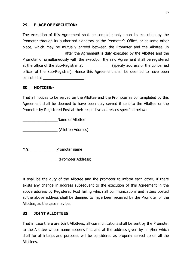#### **29. PLACE OF EXECUTION:-**

The execution of this Agreement shall be complete only upon its execution by the Promoter through its authorized signatory at the Promoter's Office, or at some other place, which may be mutually agreed between the Promoter and the Allottee, in \_\_\_\_\_\_\_\_\_\_\_\_\_\_\_\_\_\_\_\_ after the Agreement is duly executed by the Allottee and the Promoter or simultaneously with the execution the said Agreement shall be registered at the office of the Sub-Registrar at \_\_\_\_\_\_\_\_\_\_\_\_\_ (specify address of the concerned officer of the Sub-Registrar). Hence this Agreement shall be deemed to have been executed at  $\blacksquare$ 

#### **30. NOTICES:-**

That all notices to be served on the Allottee and the Promoter as contemplated by this Agreement shall be deemed to have been duly served if sent to the Allottee or the Promoter by Registered Post at their respective addresses specified below:

\_\_\_\_\_\_\_\_\_\_\_\_\_\_\_\_\_Name of Allottee

\_\_\_\_\_\_\_\_\_\_\_\_\_\_\_\_\_ (Allottee Address)

M/s \_\_\_\_\_\_\_\_\_\_\_\_\_\_\_Promoter name

\_\_\_\_\_\_\_\_\_\_\_\_\_\_\_\_\_ (Promoter Address)

It shall be the duty of the Allottee and the promoter to inform each other, if there exists any change in address subsequent to the execution of this Agreement in the above address by Registered Post failing which all communications and letters posted at the above address shall be deemed to have been received by the Promoter or the Allottee, as the case may be.

#### **31. JOINT ALLOTTEES**

That in case there are Joint Allottees, all communications shall be sent by the Promoter to the Allottee whose name appears first and at the address given by him/her which shall for all intents and purposes will be considered as properly served up on all the Allottees.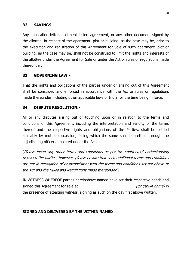#### **32. SAVINGS:-**

Any application letter, allotment letter, agreement, or any other document signed by the allottee, in respect of the apartment, plot or building, as the case may be, prior to the execution and registration of this Agreement for Sale of such apartment, plot or building, as the case may be, shall not be construed to limit the rights and interests of the allottee under the Agreement for Sale or under the Act or rules or regulations made thereunder.

### **33. GOVERNING LAW:-**

That the rights and obligations of the parties under or arising out of this Agreement shall be construed and enforced in accordance with the Act or rules or regulations made thereunder including other applicable laws of India for the time being in force.

#### **34. DISPUTE RESOLUTION:-**

All or any disputes arising out or touching upon or in relation to the terms and conditions of this Agreement, including the interpretation and validity of the terms thereof and the respective rights and obligations of the Parties, shall be settled amicably by mutual discussion, failing which the same shall be settled through the adjudicating officer appointed under the Act.

[Please insert any other terms and conditions as per the contractual understanding between the parties, however, please ensure that such additional terms and conditions are not in derogation of or inconsistent with the terms and conditions set out above or the Act and the Rules and Regulations made thereunder.]

IN WITNESS WHEREOF parties hereinabove named have set their respective hands and signed this Agreement for sale at \_\_\_\_\_\_\_\_\_\_\_\_\_\_\_\_\_\_\_\_\_\_\_\_\_\_\_ (city/town name) in the presence of attesting witness, signing as such on the day first above written.

#### **SIGNED AND DELIVERED BY THE WITHIN NAMED**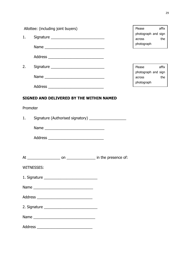| 1.       | Allottee: (including joint buyers)<br>Signature _________________________________<br>Name | Please<br>affix<br>photograph and sign<br>the<br>across<br>photograph |
|----------|-------------------------------------------------------------------------------------------|-----------------------------------------------------------------------|
|          |                                                                                           |                                                                       |
| 2.       |                                                                                           | affix<br>Please                                                       |
|          |                                                                                           | photograph and sign<br>the<br>across                                  |
|          |                                                                                           | photograph                                                            |
|          | SIGNED AND DELIVERED BY THE WITHIN NAMED                                                  |                                                                       |
| Promoter |                                                                                           |                                                                       |
| 1.       | Signature (Authorised signatory) _____________________                                    |                                                                       |
|          |                                                                                           |                                                                       |
|          |                                                                                           |                                                                       |
|          |                                                                                           |                                                                       |
|          |                                                                                           |                                                                       |
|          | WITNESSES:                                                                                |                                                                       |
|          |                                                                                           |                                                                       |
|          | Name                                                                                      |                                                                       |
|          |                                                                                           |                                                                       |
|          |                                                                                           |                                                                       |
|          |                                                                                           |                                                                       |
|          |                                                                                           |                                                                       |